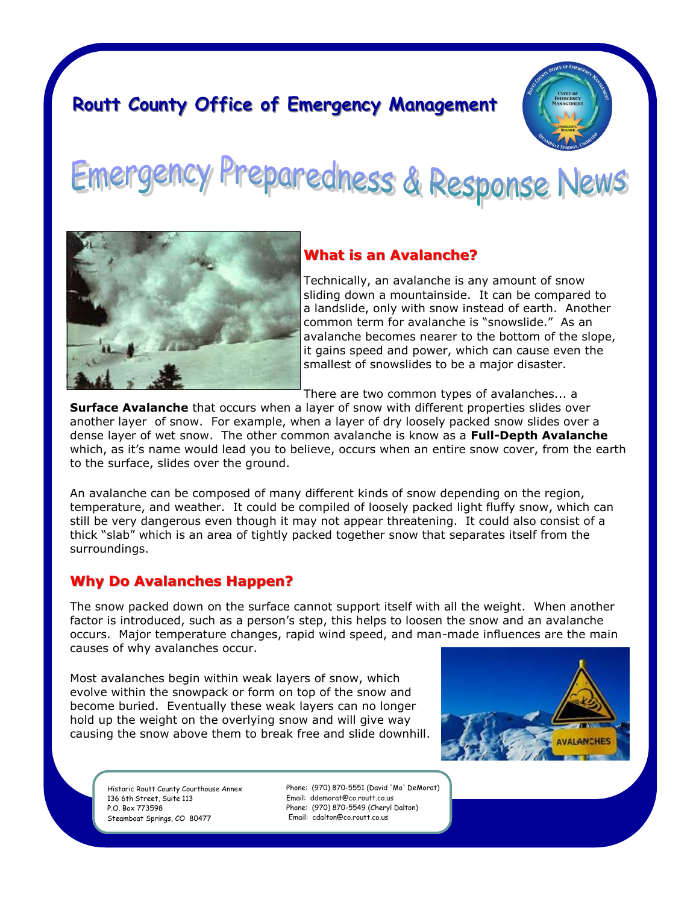# **Routt County Office of Emergency Management**



reparedness & Response News



### **What is an Avalanche?**

Technically, an avalanche is any amount of snow sliding down a mountainside. It can be compared to a landslide, only with snow instead of earth. Another common term for avalanche is "snowslide." As an avalanche becomes nearer to the bottom of the slope, it gains speed and power, which can cause even the smallest of snowslides to be a major disaster.

There are two common types of avalanches... a

**Surface Avalanche** that occurs when a layer of snow with different properties slides over another layer of snow. For example, when a layer of dry loosely packed snow slides over a dense layer of wet snow. The other common avalanche is know as a **Full-Depth Avalanche**  which, as it's name would lead you to believe, occurs when an entire snow cover, from the earth to the surface, slides over the ground.

An avalanche can be composed of many different kinds of snow depending on the region, temperature, and weather. It could be compiled of loosely packed light fluffy snow, which can still be very dangerous even though it may not appear threatening. It could also consist of a thick "slab" which is an area of tightly packed together snow that separates itself from the surroundings.

### **Why Do Avalanches Happen?**

The snow packed down on the surface cannot support itself with all the weight. When another factor is introduced, such as a person's step, this helps to loosen the snow and an avalanche occurs. Major temperature changes, rapid wind speed, and man-made influences are the main causes of why avalanches occur.

Most avalanches begin within weak layers of snow, which evolve within the snowpack or form on top of the snow and become buried. Eventually these weak layers can no longer hold up the weight on the overlying snow and will give way causing the snow above them to break free and slide downhill.



Historic Routt County Courthouse Annex 136 6th Street, Suite 113 P.O. Box 773598 Steamboat Springs, CO 80477

Phone: (970) 870-5551 (David 'Mo' DeMorat) Email: ddemorat@co.routt.co.us Phone: (970) 870-5549 (Cheryl Dalton) Email: cdalton@co.routt.co.us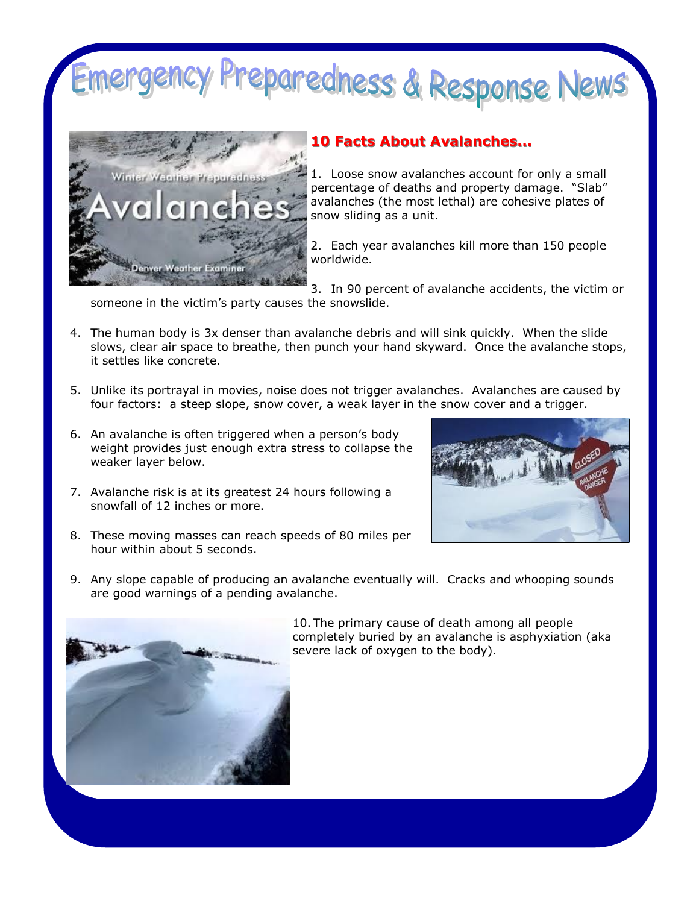# reparedness & Response News



## **10 Facts About Avalanches...**

1. Loose snow avalanches account for only a small percentage of deaths and property damage. "Slab" avalanches (the most lethal) are cohesive plates of snow sliding as a unit.

2. Each year avalanches kill more than 150 people worldwide.

3. In 90 percent of avalanche accidents, the victim or someone in the victim's party causes the snowslide.

- 4. The human body is 3x denser than avalanche debris and will sink quickly. When the slide slows, clear air space to breathe, then punch your hand skyward. Once the avalanche stops, it settles like concrete.
- 5. Unlike its portrayal in movies, noise does not trigger avalanches. Avalanches are caused by four factors: a steep slope, snow cover, a weak layer in the snow cover and a trigger.
- 6. An avalanche is often triggered when a person's body weight provides just enough extra stress to collapse the weaker layer below.
- 7. Avalanche risk is at its greatest 24 hours following a snowfall of 12 inches or more.
- 8. These moving masses can reach speeds of 80 miles per hour within about 5 seconds.
- 9. Any slope capable of producing an avalanche eventually will. Cracks and whooping sounds are good warnings of a pending avalanche.



10. The primary cause of death among all people completely buried by an avalanche is asphyxiation (aka severe lack of oxygen to the body).

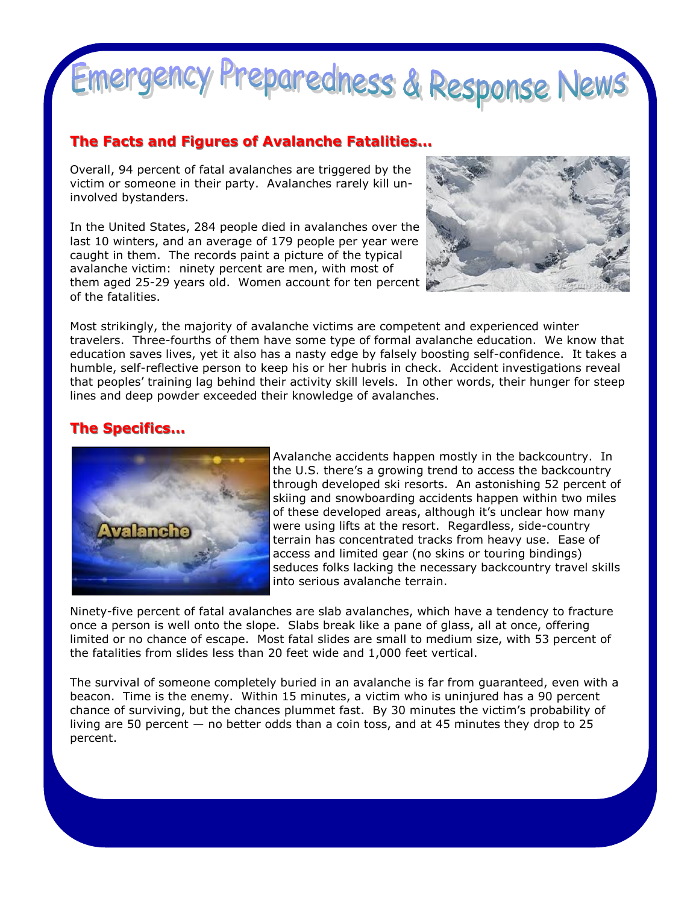# Emergency Preparedness & Response News

#### **The Facts and Figures of Avalanche Fatalities...**

Overall, 94 percent of fatal avalanches are triggered by the victim or someone in their party. Avalanches rarely kill uninvolved bystanders.

In the United States, 284 people died in avalanches over the last 10 winters, and an average of 179 people per year were caught in them. The records paint a picture of the typical avalanche victim: ninety percent are men, with most of them aged 25-29 years old. Women account for ten percent of the fatalities.



Most strikingly, the majority of avalanche victims are competent and experienced winter travelers. Three-fourths of them have some type of formal avalanche education. We know that education saves lives, yet it also has a nasty edge by falsely boosting self-confidence. It takes a humble, self-reflective person to keep his or her hubris in check. Accident investigations reveal that peoples' training lag behind their activity skill levels. In other words, their hunger for steep lines and deep powder exceeded their knowledge of avalanches.

# **The Specifics...**



Avalanche accidents happen mostly in the backcountry. In the U.S. there's a growing trend to access the backcountry through developed ski resorts. An astonishing 52 percent of skiing and snowboarding accidents happen within two miles of these developed areas, although it's unclear how many were using lifts at the resort. Regardless, side-country terrain has concentrated tracks from heavy use. Ease of access and limited gear (no skins or touring bindings) seduces folks lacking the necessary backcountry travel skills into serious avalanche terrain.

Ninety-five percent of fatal avalanches are slab avalanches, which have a tendency to fracture once a person is well onto the slope. Slabs break like a pane of glass, all at once, offering limited or no chance of escape. Most fatal slides are small to medium size, with 53 percent of the fatalities from slides less than 20 feet wide and 1,000 feet vertical.

The survival of someone completely buried in an avalanche is far from guaranteed, even with a beacon. Time is the enemy. Within 15 minutes, a victim who is uninjured has a 90 percent chance of surviving, but the chances plummet fast. By 30 minutes the victim's probability of living are 50 percent — no better odds than a coin toss, and at 45 minutes they drop to 25 percent.